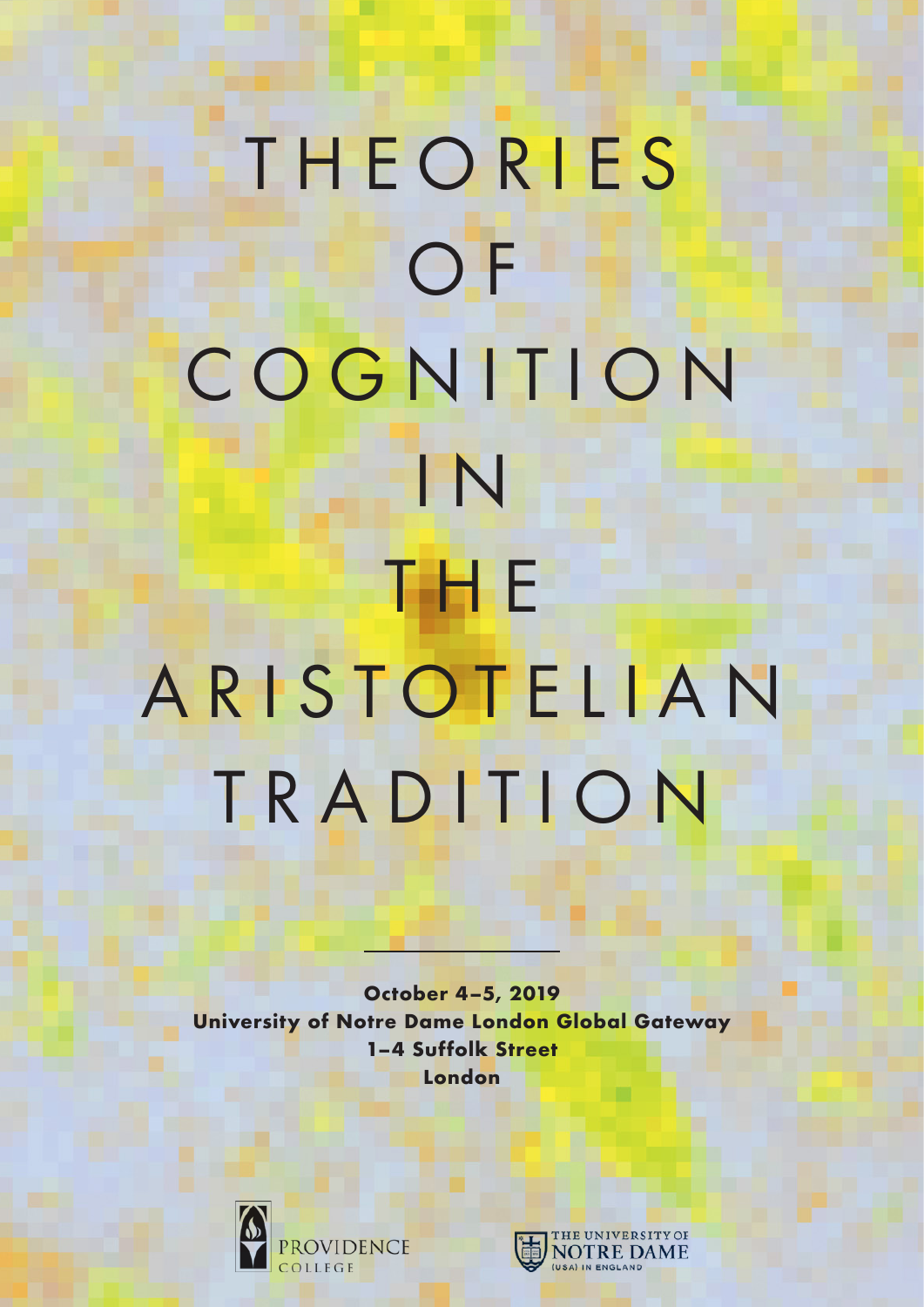## T H E O R I E S O<sub>F</sub> COGNITION I N T H E A R I S T O T E L I A N TRADITION

**October 4–5, 2019 University of Notre Dame London Global Gateway 1–4 Suffolk Street London**